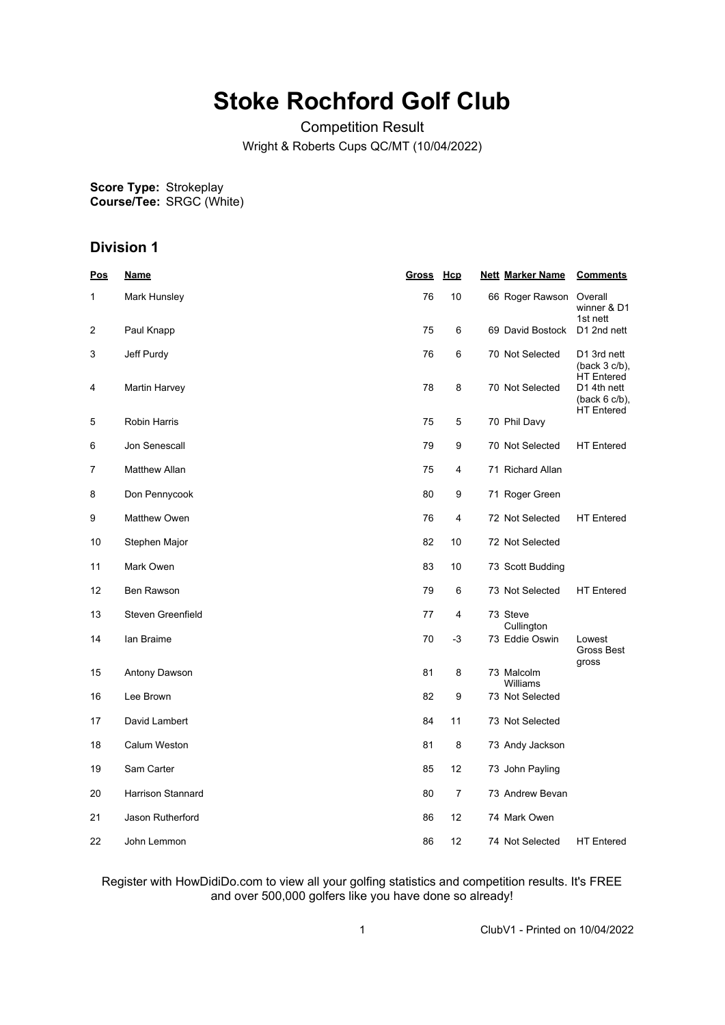# **Stoke Rochford Golf Club**

Competition Result Wright & Roberts Cups QC/MT (10/04/2022)

**Score Type: Course/Tee:** Strokeplay SRGC (White)

# **Division 1**

| <u>Pos</u> | <u>Name</u>          | Gross Hcp |    | <b>Nett Marker Name</b> | <b>Comments</b>                                      |
|------------|----------------------|-----------|----|-------------------------|------------------------------------------------------|
| 1          | Mark Hunsley         | 76        | 10 | 66 Roger Rawson         | Overall<br>winner & D1<br>1st nett                   |
| 2          | Paul Knapp           | 75        | 6  | 69 David Bostock        | D1 2nd nett                                          |
| 3          | Jeff Purdy           | 76        | 6  | 70 Not Selected         | D1 3rd nett<br>$(back 3 c/b)$ ,<br><b>HT</b> Entered |
| 4          | Martin Harvey        | 78        | 8  | 70 Not Selected         | D1 4th nett<br>$(back 6 c/b)$ ,<br><b>HT</b> Entered |
| 5          | Robin Harris         | 75        | 5  | 70 Phil Davy            |                                                      |
| 6          | Jon Senescall        | 79        | 9  | 70 Not Selected         | <b>HT</b> Entered                                    |
| 7          | <b>Matthew Allan</b> | 75        | 4  | 71 Richard Allan        |                                                      |
| 8          | Don Pennycook        | 80        | 9  | 71 Roger Green          |                                                      |
| 9          | Matthew Owen         | 76        | 4  | 72 Not Selected         | <b>HT</b> Entered                                    |
| 10         | Stephen Major        | 82        | 10 | 72 Not Selected         |                                                      |
| 11         | Mark Owen            | 83        | 10 | 73 Scott Budding        |                                                      |
| 12         | Ben Rawson           | 79        | 6  | 73 Not Selected         | <b>HT</b> Entered                                    |
| 13         | Steven Greenfield    | 77        | 4  | 73 Steve<br>Cullington  |                                                      |
| 14         | lan Braime           | 70        | -3 | 73 Eddie Oswin          | Lowest<br>Gross Best<br>gross                        |
| 15         | Antony Dawson        | 81        | 8  | 73 Malcolm<br>Williams  |                                                      |
| 16         | Lee Brown            | 82        | 9  | 73 Not Selected         |                                                      |
| 17         | David Lambert        | 84        | 11 | 73 Not Selected         |                                                      |
| 18         | Calum Weston         | 81        | 8  | 73 Andy Jackson         |                                                      |
| 19         | Sam Carter           | 85        | 12 | 73 John Payling         |                                                      |
| 20         | Harrison Stannard    | 80        | 7  | 73 Andrew Bevan         |                                                      |
| 21         | Jason Rutherford     | 86        | 12 | 74 Mark Owen            |                                                      |
| 22         | John Lemmon          | 86        | 12 | 74 Not Selected         | <b>HT</b> Entered                                    |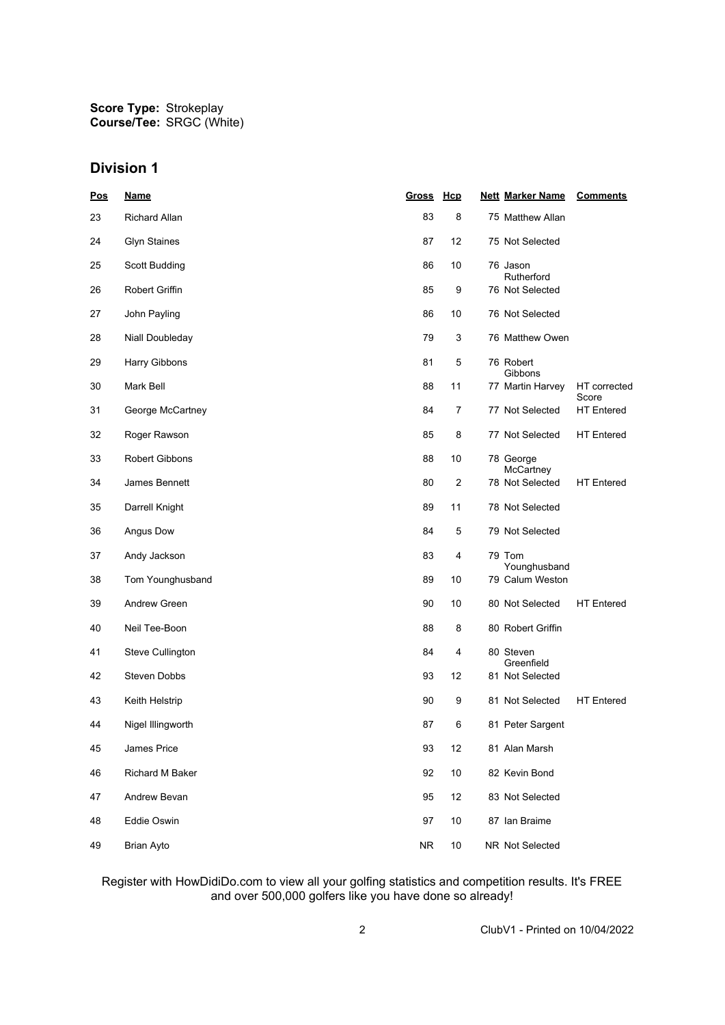## **Division 1**

| Pos | <u>Name</u>         | Gross     | Hcp              | <b>Nett Marker Name</b>      | <b>Comments</b>            |
|-----|---------------------|-----------|------------------|------------------------------|----------------------------|
| 23  | Richard Allan       | 83        | 8                | 75 Matthew Allan             |                            |
| 24  | <b>Glyn Staines</b> | 87        | 12               | 75 Not Selected              |                            |
| 25  | Scott Budding       | 86        | 10               | 76 Jason<br>Rutherford       |                            |
| 26  | Robert Griffin      | 85        | 9                | 76 Not Selected              |                            |
| 27  | John Payling        | 86        | 10               | 76 Not Selected              |                            |
| 28  | Niall Doubleday     | 79        | 3                | 76 Matthew Owen              |                            |
| 29  | Harry Gibbons       | 81        | 5                | 76 Robert                    |                            |
| 30  | Mark Bell           | 88        | 11               | Gibbons<br>77 Martin Harvey  | HT corrected               |
| 31  | George McCartney    | 84        | 7                | 77 Not Selected              | Score<br><b>HT</b> Entered |
| 32  | Roger Rawson        | 85        | 8                | 77 Not Selected              | <b>HT</b> Entered          |
| 33  | Robert Gibbons      | 88        | 10               | 78 George                    |                            |
| 34  | James Bennett       | 80        | $\boldsymbol{2}$ | McCartney<br>78 Not Selected | <b>HT</b> Entered          |
| 35  | Darrell Knight      | 89        | 11               | 78 Not Selected              |                            |
| 36  | Angus Dow           | 84        | 5                | 79 Not Selected              |                            |
| 37  | Andy Jackson        | 83        | 4                | 79 Tom<br>Younghusband       |                            |
| 38  | Tom Younghusband    | 89        | 10               | 79 Calum Weston              |                            |
| 39  | Andrew Green        | 90        | 10               | 80 Not Selected              | <b>HT</b> Entered          |
| 40  | Neil Tee-Boon       | 88        | 8                | 80 Robert Griffin            |                            |
| 41  | Steve Cullington    | 84        | 4                | 80 Steven<br>Greenfield      |                            |
| 42  | Steven Dobbs        | 93        | 12               | 81 Not Selected              |                            |
| 43  | Keith Helstrip      | 90        | 9                | 81 Not Selected              | <b>HT</b> Entered          |
| 44  | Nigel Illingworth   | 87        | 6                | 81 Peter Sargent             |                            |
| 45  | James Price         | 93        | 12               | 81 Alan Marsh                |                            |
| 46  | Richard M Baker     | 92        | 10               | 82 Kevin Bond                |                            |
| 47  | Andrew Bevan        | 95        | 12               | 83 Not Selected              |                            |
| 48  | Eddie Oswin         | 97        | 10               | 87 Ian Braime                |                            |
| 49  | <b>Brian Ayto</b>   | <b>NR</b> | 10               | NR Not Selected              |                            |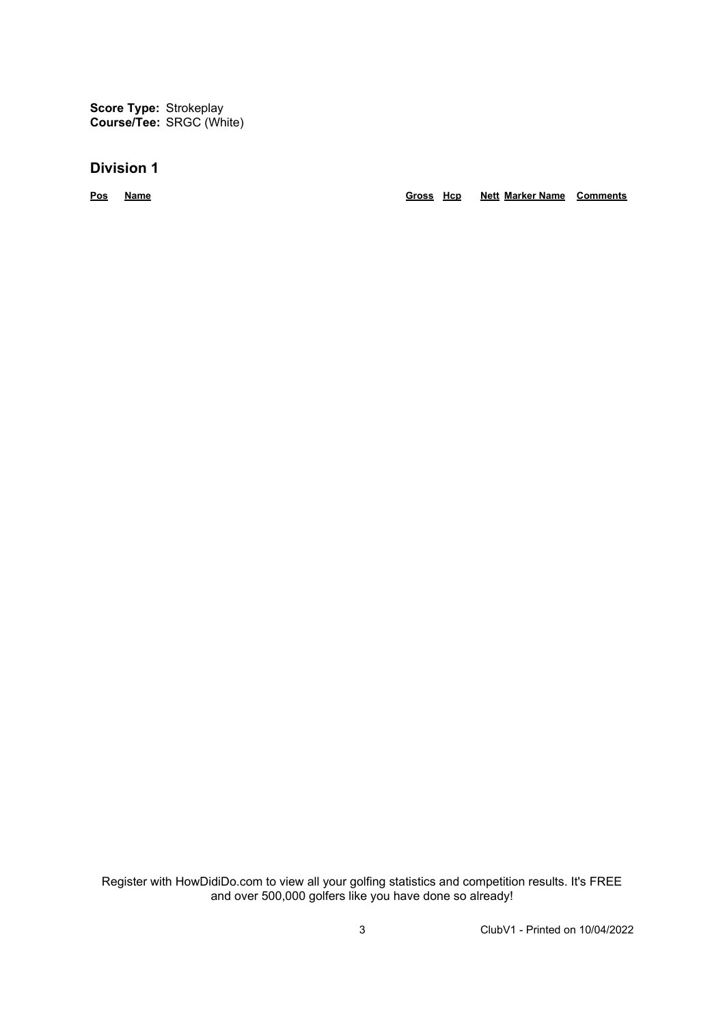**Score Type:** Strokeplay **Course/Tee:** SRGC (White)

## **Division 1**

**Pos Name Gross Hcp Nett Marker Name Comments**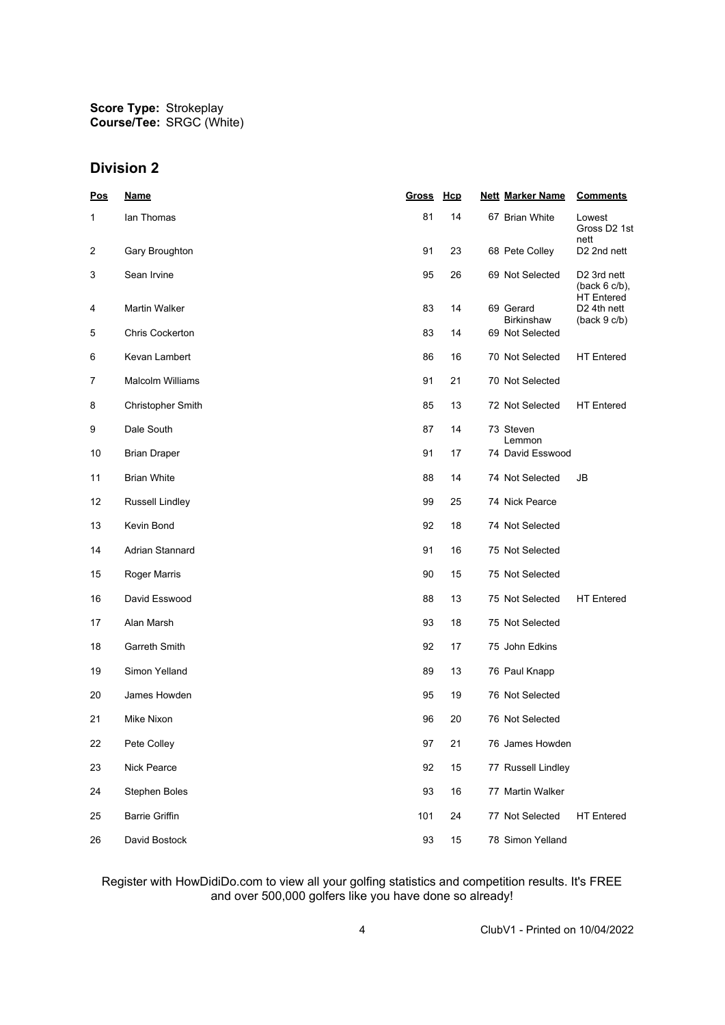## **Division 2**

| <u>Pos</u> | <b>Name</b>              | <b>Gross</b> | Hcp | <b>Nett Marker Name</b>        | <b>Comments</b>                                                  |
|------------|--------------------------|--------------|-----|--------------------------------|------------------------------------------------------------------|
| 1          | lan Thomas               | 81           | 14  | 67 Brian White                 | Lowest<br>Gross D2 1st<br>nett                                   |
| 2          | Gary Broughton           | 91           | 23  | 68 Pete Colley                 | D <sub>2</sub> 2nd nett                                          |
| 3          | Sean Irvine              | 95           | 26  | 69 Not Selected                | D <sub>2</sub> 3rd nett<br>$(back 6 c/b)$ ,<br><b>HT Entered</b> |
| 4          | <b>Martin Walker</b>     | 83           | 14  | 69 Gerard<br><b>Birkinshaw</b> | D <sub>2</sub> 4th nett<br>(back 9 c/b)                          |
| 5          | <b>Chris Cockerton</b>   | 83           | 14  | 69 Not Selected                |                                                                  |
| 6          | Kevan Lambert            | 86           | 16  | 70 Not Selected                | <b>HT</b> Entered                                                |
| 7          | <b>Malcolm Williams</b>  | 91           | 21  | 70 Not Selected                |                                                                  |
| 8          | <b>Christopher Smith</b> | 85           | 13  | 72 Not Selected                | <b>HT</b> Entered                                                |
| 9          | Dale South               | 87           | 14  | 73 Steven<br>Lemmon            |                                                                  |
| 10         | <b>Brian Draper</b>      | 91           | 17  | 74 David Esswood               |                                                                  |
| 11         | <b>Brian White</b>       | 88           | 14  | 74 Not Selected                | JB                                                               |
| 12         | Russell Lindley          | 99           | 25  | 74 Nick Pearce                 |                                                                  |
| 13         | Kevin Bond               | 92           | 18  | 74 Not Selected                |                                                                  |
| 14         | Adrian Stannard          | 91           | 16  | 75 Not Selected                |                                                                  |
| 15         | Roger Marris             | 90           | 15  | 75 Not Selected                |                                                                  |
| 16         | David Esswood            | 88           | 13  | 75 Not Selected                | <b>HT</b> Entered                                                |
| 17         | Alan Marsh               | 93           | 18  | 75 Not Selected                |                                                                  |
| 18         | Garreth Smith            | 92           | 17  | 75 John Edkins                 |                                                                  |
| 19         | Simon Yelland            | 89           | 13  | 76 Paul Knapp                  |                                                                  |
| 20         | James Howden             | 95           | 19  | 76 Not Selected                |                                                                  |
| 21         | Mike Nixon               | 96           | 20  | 76 Not Selected                |                                                                  |
| 22         | Pete Colley              | 97           | 21  | 76 James Howden                |                                                                  |
| 23         | Nick Pearce              | 92           | 15  | 77 Russell Lindley             |                                                                  |
| 24         | Stephen Boles            | 93           | 16  | 77 Martin Walker               |                                                                  |
| 25         | <b>Barrie Griffin</b>    | 101          | 24  | 77 Not Selected                | <b>HT</b> Entered                                                |
| 26         | David Bostock            | 93           | 15  | 78 Simon Yelland               |                                                                  |